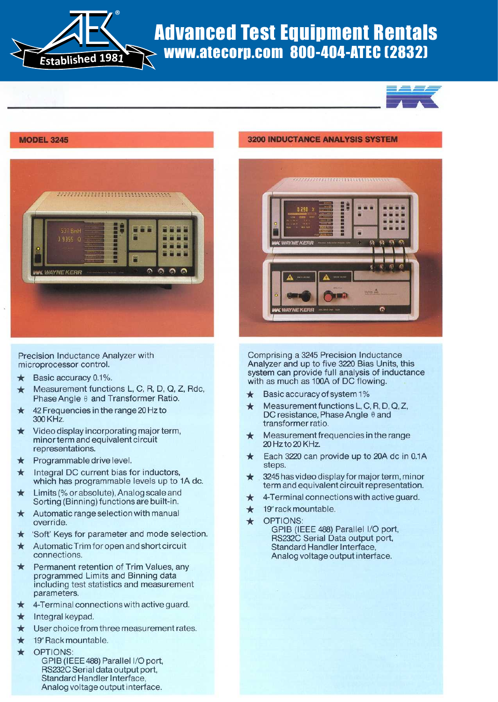

## Advanced Test Equipment Rentals www.atecorp.com 800-404-ATEC (2832)





Precision Inductance Analyzer with microprocessor control.<br>★ Basic accuracy 0.1%

- Basic accuracy 0.1% .  $\star$  Basic accuracy 0.1%.
- $m$ e asurement functions  $L, G, H, D, G, Z$
- $\star$  42 Frequencies in the range 20 Hz to
- $\star$  Video display incorporating major term, minor term and equivalent circuit<br>representations.
- Programmable drive level.
- Integral DC current bias for inductors, which has programmable levels up to 1A dc.
- Limits (% or absolute), Analog scale and Sorting (Binning) functions are built-in .
- Automatic range selection with manual override.
- 'Soft' Keys for parameter and mode selection.
- Automatic Trim for open and short circuit connections.
- Permanent retention of Trim Values, any programmed Limits and Binning data including test statistics and measurement parameters.
- 4-Terminal connections with active guard.
- Integral keypad.
- User choice from three measurement rates.
- $\star$  19" Rack mountable.
- OPTIONS: GPIB (IEEE 488) Parallel I/O port, RS232C Serial data output port, Standard Handler Interface, Analog voltage output interface.

## **3200 INDUCTANCE ANALYSIS SYSTEM**



Comprising a 3245 Precision Inductance Analyzer and up to five 3220 Bias Units, this system can provide full analysis of inductance with as much as look of DC flow

- 
- $\star$  Basic accuracy of system 1%<br>  $\star$  Measurement functional, C, R, D, Q, Z,  $D, D, D, D$ DC resistance, Phase Angle  $\theta$  and<br>transformer ratio.
- $\star$ Measurement frequencies in the range  $20 + 20 + 20 + 1$
- $\star$  Each 3220 can provide up to 20A dc in 0.1A
- 3245 has video display for major term, minor term and equivalent circuit representation.
- $\star$  4-Terminal connections with active quard.
- $\star$  19" rack mountable.<br>  $\star$  OPTIONS:
	- OPTIONS: GPIB (IEEE 488) Parallel I/O port, RS232C Serial Data output port, Standard Handler Interface, Analog voltage output interface.